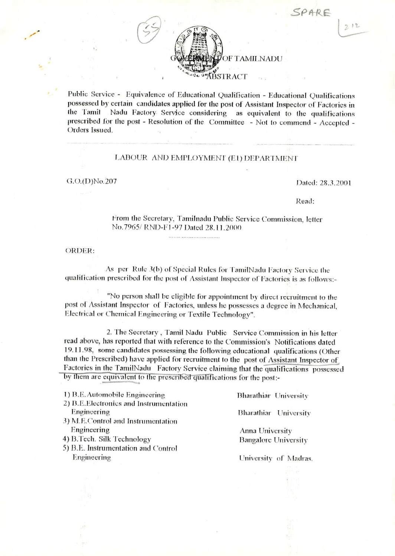

Public Service - Equivalence of Educational Qualification - Educational Qualifications possessed by certain candidates applied for the post of Assistant Inspector of Factories in Nadu Factory Service considering as equivalent to the qualifications the Tamil prescribed for the post - Resolution of the Committee - Not to commend - Accepted -Orders Issued.

## LABOUR AND EMPLOYMENT (E1) DEPARTMENT

## G.O.(D)No.207

Dated: 28.3.2001

Read:

From the Secretary, Tamilnadu Public Service Commission, letter No.7965/RND-F1-97 Dated 28.11.2000

**ORDER:** 

As per Rule 3(b) of Special Rules for TamilNadu Factory Service the qualification prescribed for the post of Assistant Inspector of Factories is as follows:-

.<br>Channels and channels are a simple product to the control of the control of the control of the control of the

"No person shall be eligible for appointment by direct recruitment to the post of Assistant Inspector of Factories, unless he possesses a degree in Mechanical, Electrical or Chemical Engineering or Textile Technology".

2. The Secretary, Tamil Nadu Public Service Commission in his letter read above, has reported that with reference to the Commission's Notifications dated 19.11.98, some candidates possessing the following educational qualifications (Other than the Prescribed) have applied for recruitment to the post of Assistant Inspector of Factories in the TamilNadu Factory Service claiming that the qualifications possessed by them are equivalent to the prescribed qualifications for the post:-

1) B.E. Automobile Engineering

2) B.E.Electronics and Instrumentation Engineering

- 3) M.E.Control and Instrumentation Engineering
- 4) B.Tech. Silk Technology
- 5) B.E. Instrumentation and Control Engineering

**Bharathiar University** 

Bharathiar University

Anna University **Bangalore University** 

University of Madras.

 $212$